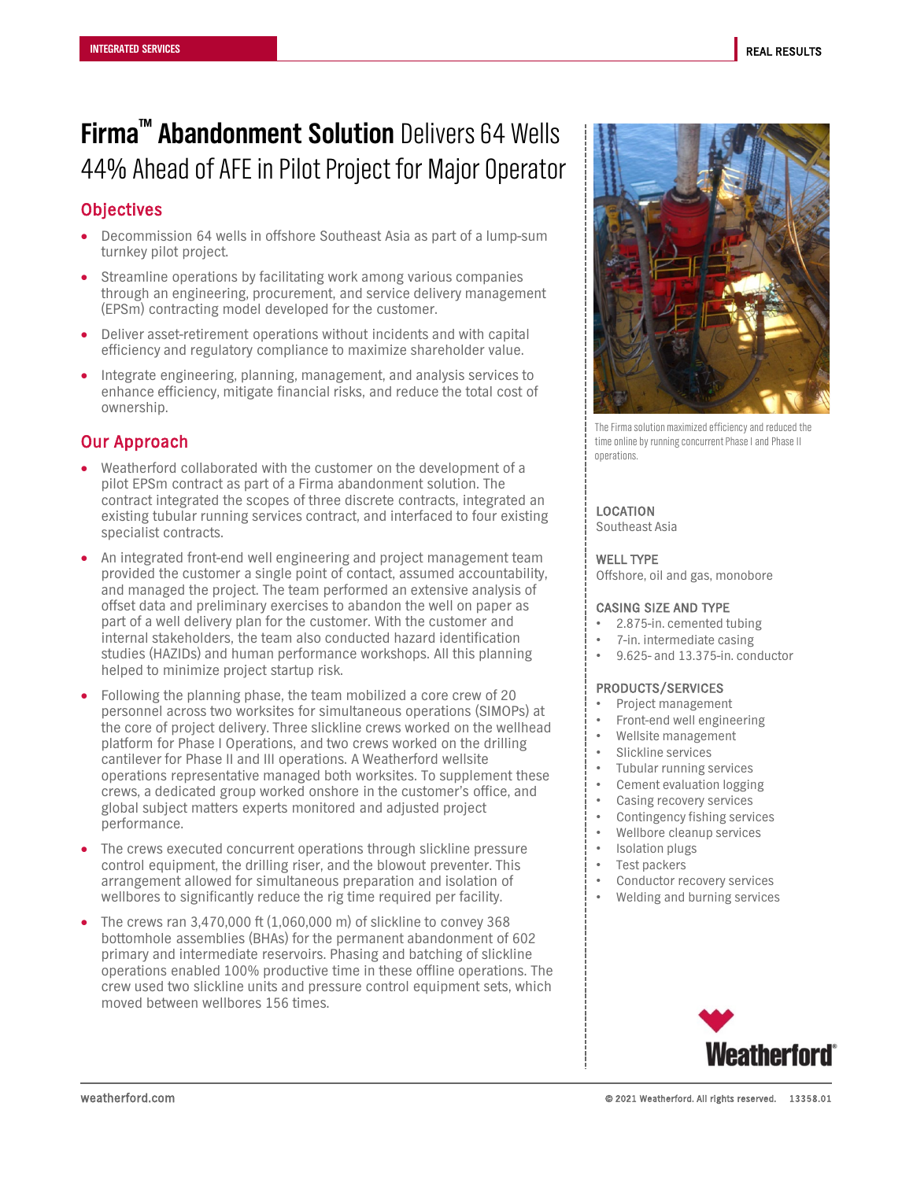# **Firma™ Abandonment Solution** Delivers 64 Wells 44% Ahead of AFE in Pilot Project for Major Operator

# **Objectives**

- Decommission 64 wells in offshore Southeast Asia as part of a lump-sum turnkey pilot project.
- Streamline operations by facilitating work among various companies through an engineering, procurement, and service delivery management (EPSm) contracting model developed for the customer.
- Deliver asset-retirement operations without incidents and with capital efficiency and regulatory compliance to maximize shareholder value.
- Integrate engineering, planning, management, and analysis services to enhance efficiency, mitigate financial risks, and reduce the total cost of ownership.

# Our Approach

- Weatherford collaborated with the customer on the development of a pilot EPSm contract as part of a Firma abandonment solution. The contract integrated the scopes of three discrete contracts, integrated an existing tubular running services contract, and interfaced to four existing specialist contracts.
- An integrated front-end well engineering and project management team provided the customer a single point of contact, assumed accountability, and managed the project. The team performed an extensive analysis of offset data and preliminary exercises to abandon the well on paper as part of a well delivery plan for the customer. With the customer and internal stakeholders, the team also conducted hazard identification studies (HAZIDs) and human performance workshops. All this planning helped to minimize project startup risk.
- Following the planning phase, the team mobilized a core crew of 20 personnel across two worksites for simultaneous operations (SIMOPs) at the core of project delivery. Three slickline crews worked on the wellhead platform for Phase I Operations, and two crews worked on the drilling cantilever for Phase II and III operations. A Weatherford wellsite operations representative managed both worksites. To supplement these crews, a dedicated group worked onshore in the customer's office, and global subject matters experts monitored and adjusted project performance.
- The crews executed concurrent operations through slickline pressure control equipment, the drilling riser, and the blowout preventer. This arrangement allowed for simultaneous preparation and isolation of wellbores to significantly reduce the rig time required per facility.
- The crews ran 3,470,000 ft (1,060,000 m) of slickline to convey 368 bottomhole assemblies (BHAs) for the permanent abandonment of 602 primary and intermediate reservoirs. Phasing and batching of slickline operations enabled 100% productive time in these offline operations. The crew used two slickline units and pressure control equipment sets, which moved between wellbores 156 times.



The Firma solution maximized efficiency and reduced the time online by running concurrent Phase I and Phase II operations.

## LOCATION

Southeast Asia

#### WELL TYPE

Offshore, oil and gas, monobore

#### CASING SIZE AND TYPE

- 2.875-in. cemented tubing
- 7-in. intermediate casing
- 9.625- and 13.375-in. conductor

### PRODUCTS/SERVICES

- Project management
- Front-end well engineering
- Wellsite management
- Slickline services
- Tubular running services
- Cement evaluation logging
- Casing recovery services
- Contingency fishing services
- Wellbore cleanup services
- Isolation plugs
- Test packers
- Conductor recovery services
- Welding and burning services